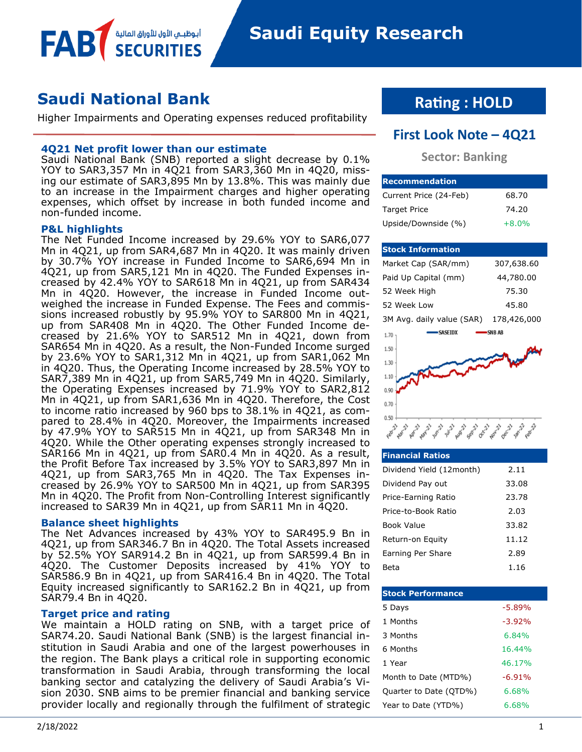**Saudi Equity Research** 

# **Saudi National Bank**

Higher Impairments and Operating expenses reduced profitability

## **4Q21 Net profit lower than our estimate**

أبوظبــي الأول للأوراق المالية

Saudi National Bank (SNB) reported a slight decrease by 0.1% YOY to SAR3,357 Mn in 4Q21 from SAR3,360 Mn in 4Q20, missing our estimate of SAR3,895 Mn by 13.8%. This was mainly due to an increase in the Impairment charges and higher operating expenses, which offset by increase in both funded income and non-funded income.

### **P&L highlights**

FAB

The Net Funded Income increased by 29.6% YOY to SAR6,077 Mn in 4Q21, up from SAR4,687 Mn in 4Q20. It was mainly driven by 30.7% YOY increase in Funded Income to SAR6,694 Mn in 4Q21, up from SAR5,121 Mn in 4Q20. The Funded Expenses increased by 42.4% YOY to SAR618 Mn in 4Q21, up from SAR434 Mn in 4Q20. However, the increase in Funded Income outweighed the increase in Funded Expense. The Fees and commissions increased robustly by 95.9% YOY to SAR800 Mn in 4Q21, up from SAR408 Mn in 4Q20. The Other Funded Income decreased by 21.6% YOY to SAR512 Mn in 4Q21, down from SAR654 Mn in 4Q20. As a result, the Non-Funded Income surged by 23.6% YOY to SAR1,312 Mn in 4Q21, up from SAR1,062 Mn in 4Q20. Thus, the Operating Income increased by 28.5% YOY to SAR7,389 Mn in 4Q21, up from SAR5,749 Mn in 4Q20. Similarly, the Operating Expenses increased by 71.9% YOY to SAR2,812 Mn in 4Q21, up from SAR1,636 Mn in 4Q20. Therefore, the Cost to income ratio increased by 960 bps to 38.1% in 4Q21, as compared to 28.4% in 4Q20. Moreover, the Impairments increased by 47.9% YOY to SAR515 Mn in 4Q21, up from SAR348 Mn in 4Q20. While the Other operating expenses strongly increased to SAR166 Mn in 4Q21, up from SAR0.4 Mn in 4Q20. As a result, the Profit Before Tax increased by 3.5% YOY to SAR3,897 Mn in 4Q21, up from SAR3,765 Mn in 4Q20. The Tax Expenses increased by 26.9% YOY to SAR500 Mn in 4Q21, up from SAR395 Mn in 4Q20. The Profit from Non-Controlling Interest significantly increased to SAR39 Mn in 4Q21, up from SAR11 Mn in 4Q20.

#### **Balance sheet highlights**

The Net Advances increased by 43% YOY to SAR495.9 Bn in 4Q21, up from SAR346.7 Bn in 4Q20. The Total Assets increased by 52.5% YOY SAR914.2 Bn in 4Q21, up from SAR599.4 Bn in 4Q20. The Customer Deposits increased by 41% YOY to SAR586.9 Bn in 4Q21, up from SAR416.4 Bn in 4Q20. The Total Equity increased significantly to SAR162.2 Bn in 4Q21, up from SAR79.4 Bn in 4Q20.

## **Target price and rating**

We maintain a HOLD rating on SNB, with a target price of SAR74.20. Saudi National Bank (SNB) is the largest financial institution in Saudi Arabia and one of the largest powerhouses in the region. The Bank plays a critical role in supporting economic transformation in Saudi Arabia, through transforming the local banking sector and catalyzing the delivery of Saudi Arabia's Vision 2030. SNB aims to be premier financial and banking service provider locally and regionally through the fulfilment of strategic

# **Rating : HOLD**

## **First Look Note – 4Q21**

## **Sector: Banking**

| <b>IRecommendation</b> |         |
|------------------------|---------|
| Current Price (24-Feb) | 68.70   |
| <b>Target Price</b>    | 74.20   |
| Upside/Downside (%)    | $+8.0%$ |

### **Stock Information**

| -SNB AB     |
|-------------|
| 178,426,000 |
| 45.80       |
| 75.30       |
| 44,780.00   |
| 307,638.60  |
|             |



## **Financial Ratios** Dividend Yield (12month) 2.11 Dividend Pay out 33.08 Price-Earning Ratio 23.78 Price-to-Book Ratio 2.03 Book Value 33.82 Return-on Equity 11.12 Earning Per Share 2.89 Beta 1.16

| <b>Stock Performance</b> |          |
|--------------------------|----------|
| 5 Days                   | $-5.89%$ |
| 1 Months                 | $-3.92%$ |
| 3 Months                 | 6.84%    |
| 6 Months                 | 16.44%   |
| 1 Year                   | 46.17%   |
| Month to Date (MTD%)     | $-6.91%$ |
| Quarter to Date (QTD%)   | 6.68%    |
| Year to Date (YTD%)      | 6.68%    |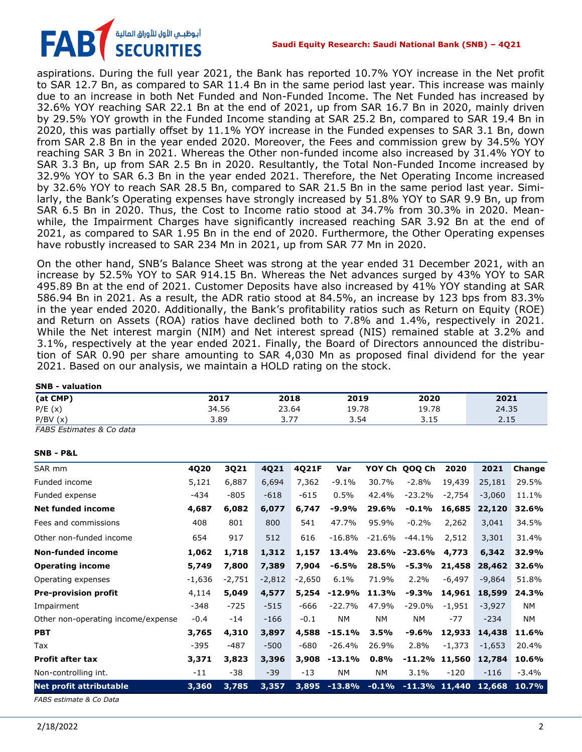

aspirations. During the full year 2021, the Bank has reported 10.7% YOY increase in the Net profit to SAR 12.7 Bn, as compared to SAR 11.4 Bn in the same period last year. This increase was mainly due to an increase in both Net Funded and Non-Funded Income. The Net Funded has increased by 32.6% YOY reaching SAR 22.1 Bn at the end of 2021, up from SAR 16.7 Bn in 2020, mainly driven by 29.5% YOY growth in the Funded Income standing at SAR 25.2 Bn, compared to SAR 19.4 Bn in 2020, this was partially offset by 11.1% YOY increase in the Funded expenses to SAR 3.1 Bn, down from SAR 2.8 Bn in the year ended 2020. Moreover, the Fees and commission grew by 34.5% YOY reaching SAR 3 Bn in 2021. Whereas the Other non-funded income also increased by 31.4% YOY to SAR 3.3 Bn, up from SAR 2.5 Bn in 2020. Resultantly, the Total Non-Funded Income increased by 32.9% YOY to SAR 6.3 Bn in the year ended 2021. Therefore, the Net Operating Income increased by 32.6% YOY to reach SAR 28.5 Bn, compared to SAR 21.5 Bn in the same period last year. Similarly, the Bank's Operating expenses have strongly increased by 51.8% YOY to SAR 9.9 Bn, up from SAR 6.5 Bn in 2020. Thus, the Cost to Income ratio stood at 34.7% from 30.3% in 2020. Meanwhile, the Impairment Charges have significantly increased reaching SAR 3.92 Bn at the end of 2021, as compared to SAR 1.95 Bn in the end of 2020. Furthermore, the Other Operating expenses have robustly increased to SAR 234 Mn in 2021, up from SAR 77 Mn in 2020.

On the other hand, SNB's Balance Sheet was strong at the year ended 31 December 2021, with an increase by 52.5% YOY to SAR 914.15 Bn. Whereas the Net advances surged by 43% YOY to SAR 495.89 Bn at the end of 2021. Customer Deposits have also increased by 41% YOY standing at SAR 586.94 Bn in 2021. As a result, the ADR ratio stood at 84.5%, an increase by 123 bps from 83.3% in the year ended 2020. Additionally, the Bank's profitability ratios such as Return on Equity (ROE) and Return on Assets (ROA) ratios have declined both to 7.8% and 1.4%, respectively in 2021. While the Net interest margin (NIM) and Net interest spread (NIS) remained stable at 3.2% and 3.1%, respectively at the year ended 2021. Finally, the Board of Directors announced the distribution of SAR 0.90 per share amounting to SAR 4,030 Mn as proposed final dividend for the year 2021. Based on our analysis, we maintain a HOLD rating on the stock.

| <b>SNB - valuation</b>             |          |          |          |          |           |           |                  |          |          |           |
|------------------------------------|----------|----------|----------|----------|-----------|-----------|------------------|----------|----------|-----------|
| (at CMP)                           |          | 2017     |          | 2018     | 2019      |           | 2020             |          | 2021     |           |
| P/E(x)                             |          | 34.56    | 23.64    |          | 19.78     |           | 19.78            |          | 24.35    |           |
| P/BV(x)                            |          | 3.89     |          | 3.77     | 3.54      |           | 3.15             |          | 2.15     |           |
| FABS Estimates & Co data           |          |          |          |          |           |           |                  |          |          |           |
| <b>SNB - P&amp;L</b>               |          |          |          |          |           |           |                  |          |          |           |
| SAR mm                             | 4Q20     | 3Q21     | 4Q21     | 4021F    | Var       |           | YOY Ch QOO Ch    | 2020     | 2021     | Change    |
| Funded income                      | 5,121    | 6,887    | 6,694    | 7,362    | $-9.1%$   | 30.7%     | $-2.8%$          | 19,439   | 25,181   | 29.5%     |
| Funded expense                     | $-434$   | $-805$   | $-618$   | $-615$   | 0.5%      | 42.4%     | $-23.2%$         | $-2,754$ | $-3,060$ | 11.1%     |
| <b>Net funded income</b>           | 4,687    | 6,082    | 6,077    | 6,747    | $-9.9%$   | 29.6%     | $-0.1%$          | 16,685   | 22,120   | 32.6%     |
| Fees and commissions               | 408      | 801      | 800      | 541      | 47.7%     | 95.9%     | $-0.2%$          | 2,262    | 3,041    | 34.5%     |
| Other non-funded income            | 654      | 917      | 512      | 616      | $-16.8%$  | $-21.6%$  | $-44.1%$         | 2,512    | 3,301    | 31.4%     |
| <b>Non-funded income</b>           | 1,062    | 1,718    | 1,312    | 1,157    | 13.4%     | 23.6%     | $-23.6%$         | 4,773    | 6,342    | 32.9%     |
| <b>Operating income</b>            | 5,749    | 7,800    | 7,389    | 7,904    | $-6.5%$   | 28.5%     | $-5.3%$          | 21,458   | 28,462   | 32.6%     |
| Operating expenses                 | $-1,636$ | $-2,751$ | $-2,812$ | $-2,650$ | 6.1%      | 71.9%     | 2.2%             | $-6,497$ | $-9,864$ | 51.8%     |
| <b>Pre-provision profit</b>        | 4,114    | 5,049    | 4,577    | 5,254    | $-12.9%$  | 11.3%     | $-9.3%$          | 14,961   | 18,599   | 24.3%     |
| Impairment                         | $-348$   | $-725$   | $-515$   | $-666$   | $-22.7%$  | 47.9%     | $-29.0%$         | $-1,951$ | $-3,927$ | <b>NM</b> |
| Other non-operating income/expense | $-0.4$   | $-14$    | $-166$   | $-0.1$   | <b>NM</b> | <b>NM</b> | <b>NM</b>        | $-77$    | $-234$   | <b>NM</b> |
| <b>PBT</b>                         | 3,765    | 4,310    | 3,897    | 4,588    | $-15.1%$  | 3.5%      | $-9.6%$          | 12,933   | 14,438   | 11.6%     |
| Tax                                | $-395$   | $-487$   | $-500$   | $-680$   | $-26.4%$  | 26.9%     | 2.8%             | $-1,373$ | $-1,653$ | 20.4%     |
| <b>Profit after tax</b>            | 3,371    | 3,823    | 3,396    | 3,908    | $-13.1%$  | 0.8%      | $-11.2%$         | 11,560   | 12,784   | 10.6%     |
| Non-controlling int.               | $-11$    | $-38$    | $-39$    | $-13$    | <b>NM</b> | NΜ        | 3.1%             | $-120$   | $-116$   | $-3.4%$   |
| <b>Net profit attributable</b>     | 3,360    | 3,785    | 3,357    | 3,895    | $-13.8%$  | $-0.1%$   | $-11.3\%$ 11,440 |          | 12,668   | 10.7%     |

*FABS estimate & Co Data*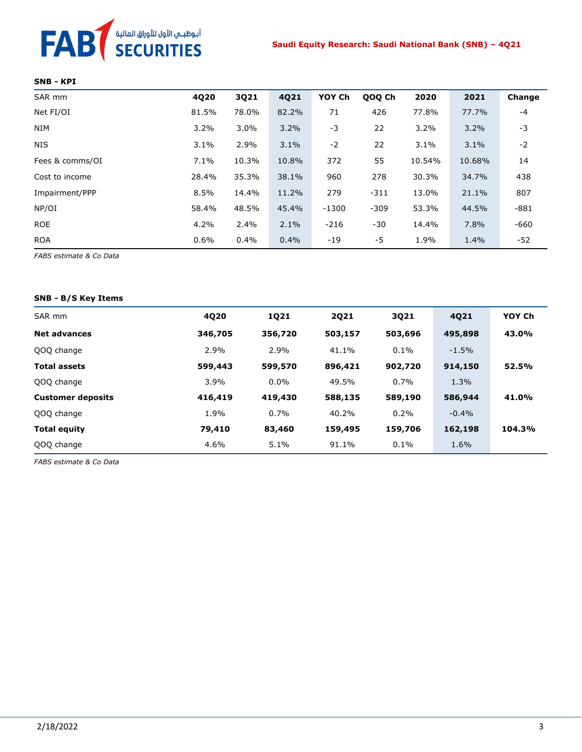# FAB<sup>T</sup> SECURITIES

#### **SNB - KPI**

| SAR mm          | 4Q20  | 3Q21    | 4Q21  | YOY Ch  | QOQ Ch | 2020   | 2021   | Change |
|-----------------|-------|---------|-------|---------|--------|--------|--------|--------|
| Net FI/OI       | 81.5% | 78.0%   | 82.2% | 71      | 426    | 77.8%  | 77.7%  | $-4$   |
| <b>NIM</b>      | 3.2%  | $3.0\%$ | 3.2%  | $-3$    | 22     | 3.2%   | 3.2%   | -3     |
| <b>NIS</b>      | 3.1%  | 2.9%    | 3.1%  | $-2$    | 22     | 3.1%   | 3.1%   | $-2$   |
| Fees & comms/OI | 7.1%  | 10.3%   | 10.8% | 372     | 55     | 10.54% | 10.68% | 14     |
| Cost to income  | 28.4% | 35.3%   | 38.1% | 960     | 278    | 30.3%  | 34.7%  | 438    |
| Impairment/PPP  | 8.5%  | 14.4%   | 11.2% | 279     | $-311$ | 13.0%  | 21.1%  | 807    |
| NP/OI           | 58.4% | 48.5%   | 45.4% | $-1300$ | $-309$ | 53.3%  | 44.5%  | $-881$ |
| <b>ROE</b>      | 4.2%  | 2.4%    | 2.1%  | $-216$  | -30    | 14.4%  | 7.8%   | $-660$ |
| <b>ROA</b>      | 0.6%  | 0.4%    | 0.4%  | $-19$   | -5     | 1.9%   | 1.4%   | -52    |

*FABS estimate & Co Data*

#### **SNB - B/S Key Items**

| SAR mm                   | 4020    | 1021    | <b>2Q21</b> | 3021    | 4021    | YOY Ch |
|--------------------------|---------|---------|-------------|---------|---------|--------|
| <b>Net advances</b>      | 346,705 | 356,720 | 503,157     | 503,696 | 495,898 | 43.0%  |
| QOQ change               | 2.9%    | 2.9%    | 41.1%       | 0.1%    | $-1.5%$ |        |
| <b>Total assets</b>      | 599,443 | 599,570 | 896,421     | 902,720 | 914,150 | 52.5%  |
| QOQ change               | 3.9%    | $0.0\%$ | 49.5%       | 0.7%    | 1.3%    |        |
| <b>Customer deposits</b> | 416,419 | 419,430 | 588,135     | 589,190 | 586,944 | 41.0%  |
| QOQ change               | 1.9%    | 0.7%    | 40.2%       | 0.2%    | $-0.4%$ |        |
| <b>Total equity</b>      | 79,410  | 83,460  | 159,495     | 159,706 | 162,198 | 104.3% |
| QOQ change               | 4.6%    | 5.1%    | 91.1%       | 0.1%    | 1.6%    |        |

*FABS estimate & Co Data*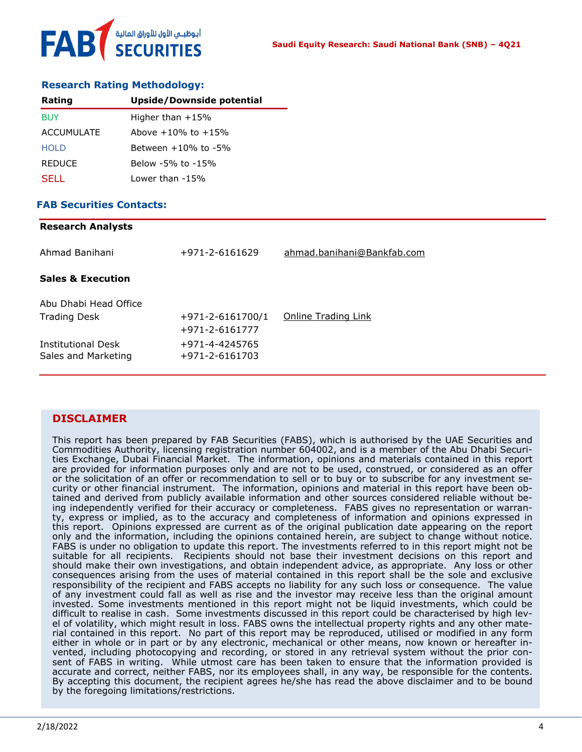

### **Research Rating Methodology:**

| Rating            | <b>Upside/Downside potential</b> |
|-------------------|----------------------------------|
| <b>BUY</b>        | Higher than $+15%$               |
| <b>ACCUMULATE</b> | Above $+10\%$ to $+15\%$         |
| HOI D             | Between $+10\%$ to $-5\%$        |
| <b>REDUCE</b>     | Below -5% to -15%                |
| SELL.             | Lower than -15%                  |

## **FAB Securities Contacts:**

| <b>Research Analysts</b>     |                  |                            |
|------------------------------|------------------|----------------------------|
| Ahmad Banihani               | +971-2-6161629   | ahmad.banihani@Bankfab.com |
| <b>Sales &amp; Execution</b> |                  |                            |
| Abu Dhabi Head Office        |                  |                            |
| <b>Trading Desk</b>          | +971-2-6161700/1 | Online Trading Link        |
|                              | +971-2-6161777   |                            |
| <b>Institutional Desk</b>    | +971-4-4245765   |                            |
| Sales and Marketing          | +971-2-6161703   |                            |

## **DISCLAIMER**

This report has been prepared by FAB Securities (FABS), which is authorised by the UAE Securities and Commodities Authority, licensing registration number 604002, and is a member of the Abu Dhabi Securities Exchange, Dubai Financial Market. The information, opinions and materials contained in this report are provided for information purposes only and are not to be used, construed, or considered as an offer or the solicitation of an offer or recommendation to sell or to buy or to subscribe for any investment security or other financial instrument. The information, opinions and material in this report have been obtained and derived from publicly available information and other sources considered reliable without being independently verified for their accuracy or completeness. FABS gives no representation or warranty, express or implied, as to the accuracy and completeness of information and opinions expressed in this report. Opinions expressed are current as of the original publication date appearing on the report only and the information, including the opinions contained herein, are subject to change without notice. FABS is under no obligation to update this report. The investments referred to in this report might not be suitable for all recipients. Recipients should not base their investment decisions on this report and should make their own investigations, and obtain independent advice, as appropriate. Any loss or other consequences arising from the uses of material contained in this report shall be the sole and exclusive responsibility of the recipient and FABS accepts no liability for any such loss or consequence. The value of any investment could fall as well as rise and the investor may receive less than the original amount invested. Some investments mentioned in this report might not be liquid investments, which could be difficult to realise in cash. Some investments discussed in this report could be characterised by high level of volatility, which might result in loss. FABS owns the intellectual property rights and any other material contained in this report. No part of this report may be reproduced, utilised or modified in any form either in whole or in part or by any electronic, mechanical or other means, now known or hereafter invented, including photocopying and recording, or stored in any retrieval system without the prior consent of FABS in writing. While utmost care has been taken to ensure that the information provided is accurate and correct, neither FABS, nor its employees shall, in any way, be responsible for the contents. By accepting this document, the recipient agrees he/she has read the above disclaimer and to be bound by the foregoing limitations/restrictions.